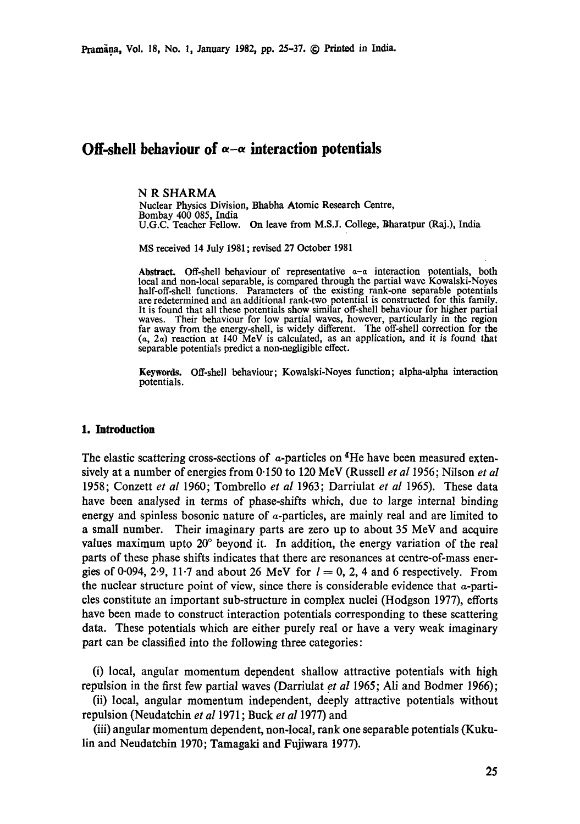# **Off-shell behaviour of**  $\alpha - \alpha$  **interaction potentials**

### **N R** SHARMA

Nuclear Physics Division, Bhabha Atomic Research Centre, Bombay 400 085, India U.G.C. Teacher Fellow. On leave from M.S.J. College, Bharatpur (Raj.), India

MS received 14 July 1981 ; revised 27 October 1981

**Abstract.** Off-shell behaviour of representative a-a interaction potentials, both local and non-local separable, is compared through the partial wave Kowalski-Noyes half-off-shell functions. Parameters of the existing rank-one separable potentials are redetermined and an additional rank-two potential is constructed for this family. It is found that all these potentials show similar off-shell behaviour for higher partial waves. Their behaviour for low partial waves, however, particularly in the region far away from the energy-shell, is widely different. The off-shell correction for the (a, 2a) reaction at 140 MeV is calculated, as an application, and it is found *that*  separable potentials predict a non-negligible effect.

**Keywords.** Off-shell behaviour; Kowalski-Noyes function; alpha-alpha interaction potentials.

### **I. Introduction**

The elastic scattering cross-sections of  $\alpha$ -particles on  ${}^4$ He have been measured extensively at a number of energies from 0"150 to 120 MeV (Russell *et al* 1956; Nilson *et al*  1958; Conzett *et al* 1960; Tombrello *et al* 1963; Darriulat *et al* 1965). These data have been analysed in terms of phase-shifts which, due to large internal binding energy and spinless bosonic nature of a-particles, are mainly real and are limited to a small number. Their imaginary parts are zero up to about 35 MeV and acquire values maximum upto 20° beyond it. In addition, the energy variation of the real parts of these phase shifts indicates that there are resonances at centre-of-mass energies of 0.094, 2.9, 11.7 and about 26 MeV for  $l = 0, 2, 4$  and 6 respectively. From the nuclear structure point of view, since there is considerable evidence that  $\alpha$ -partides constitute an important sub-structure in complex nuclei (Hodgson 1977), efforts have been made to construct interaction potentials corresponding to these scattering data. These potentials which are either purely real or have a very weak imaginary part can be classified into the following three categories:

(i) local, angular momentum dependent shallow attractive potentials with high repulsion in the first few partial waves (Darriulat *et al* 1965; Ali and Bodmer 1966);

(ii) local, angular momentum independent, deeply attractive potentials without repulsion (Neudatehin *et al* 1971; Buck *et al* 1977) and

(iii) angular momentum dependent, non-local, rank one separable potentials (Kukulin and Neudatchin 1970; Tamagaki and Fujiwara 1977).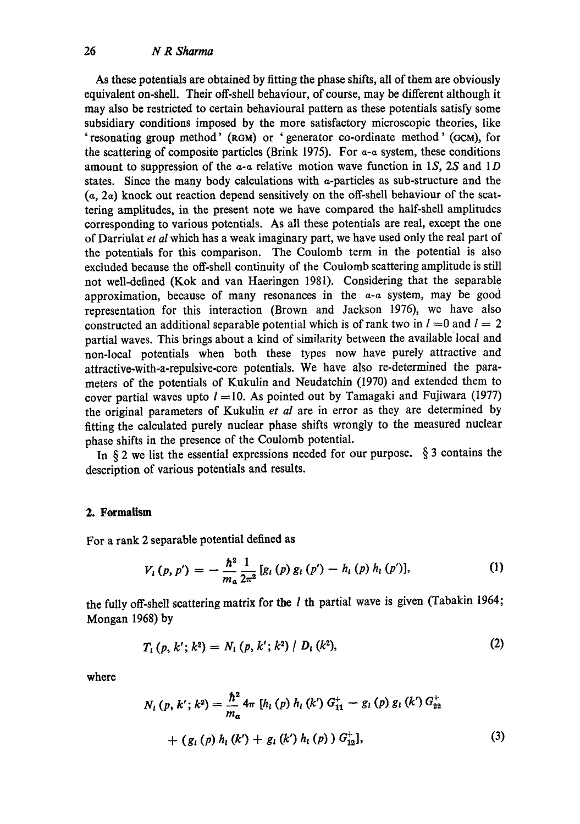As these potentials are obtained by fitting the phase shifts, all of them are obviously equivalent on-shell. Their off-shell behaviour, of course, may be different although it may also be restricted to certain behavioural pattern as these potentials satisfy some subsidiary conditions imposed by the more satisfactory microscopic theories, like 'resonating group method' (RGM) or 'generator co-ordinate method' (GCM), for the scattering of composite particles (Brink 1975). For  $a-a$  system, these conditions amount to suppression of the  $a-a$  relative motion wave function in 1S, 2S and 1D states. Since the many body calculations with  $\alpha$ -particles as sub-structure and the  $(a, 2a)$  knock out reaction depend sensitively on the off-shell behaviour of the scattering amplitudes, in the present note we have compared the half-shell amplitudes corresponding to various potentials. As all these potentials are real, except the one of Darriulat *et al* which has a weak imaginary part, we have used only the real part of the potentials for this comparison. The Coulomb term in the potential is also excluded because the off-shell continuity of the Coulomb scattering amplitude is still not well-defined (Kok and van Haeringen 1981). Considering that the separable approximation, because of many resonances in the  $a-a$  system, may be good representation for this interaction (Brown and Jackson 1976), we have also constructed an additional separable potential which is of rank two in  $l = 0$  and  $l = 2$ partial waves. This brings about a kind of similarity between the available local and non-local potentials when both these types now have purely attractive and attractive-with-a-repulsive-core potentials. We have also re-determined the parameters of the potentials of Kukulin and Neudatchin (1970) and extended them to cover partial waves upto  $l = 10$ . As pointed out by Tamagaki and Fujiwara (1977) the original parameters of Kukulin *et al* are in error as they are determined by fitting the calculated purely nuclear phase shifts wrongly to the measured nuclear phase shifts in the presence of the Coulomb potential.

In  $\S 2$  we list the essential expressions needed for our purpose.  $\S 3$  contains the description of various potentials and results.

## **2. Formalism**

For a rank 2 separable potential defined as

$$
V_{l}(p, p') = -\frac{\hbar^{2}}{m_{\alpha}} \frac{1}{2\pi^{2}} [g_{l}(p) g_{l}(p') - h_{l}(p) h_{l}(p')], \qquad (1)
$$

the fully off-shell scattering matrix for the  $l$  th partial wave is given (Tabakin 1964; Mongan 1968) by

$$
T_{i}(p, k'; k^{2}) = N_{i}(p, k'; k^{2}) / D_{i}(k^{2}), \qquad (2)
$$

where

$$
N_{l}(p, k'; k^{2}) = \frac{\hbar^{2}}{m_{a}} 4\pi [h_{l}(p) h_{l}(k') G_{11}^{+} - g_{l}(p) g_{l}(k') G_{22}^{+} + (g_{l}(p) h_{l}(k') + g_{l}(k') h_{l}(p)) G_{12}^{+}], \qquad (3)
$$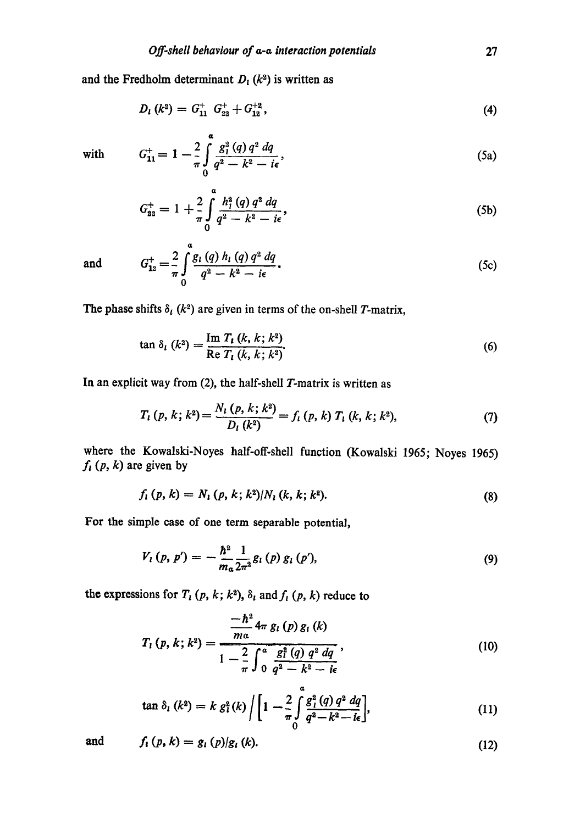and the Fredholm determinant  $D_t$  ( $k^2$ ) is written as

*Q* 

$$
D_{l} (k^{2}) = G_{11}^{+} G_{22}^{+} + G_{12}^{+2}, \qquad (4)
$$

with 
$$
G_{11}^+=1-\frac{2}{\pi}\int_{0}^{\infty}\frac{g_1^2(q) q^2 dq}{q^2-k^2-i\epsilon}
$$
, (5a)

$$
G_{22}^{+} = 1 + \frac{2}{\pi} \int_{0}^{a} \frac{h_{1}^{2}(q) q^{2} dq}{q^{2} - k^{2} - i\epsilon},
$$
\n(5b)

and 
$$
G_{12}^+ = \frac{2}{\pi} \int_0^a \frac{g_l(q) h_l(q) q^2 dq}{q^2 - k^2 - i\epsilon}
$$
 (5c)

The phase shifts  $\delta_l$  ( $k^2$ ) are given in terms of the on-shell T-matrix,

$$
\tan \delta_i (k^2) = \frac{\text{Im } T_i (k, k; k^2)}{\text{Re } T_i (k, k; k^2)}.
$$
\n(6)

In an explicit way from (2), the half-shell T-matrix is written as

$$
T_{l}(p, k; k^{2}) = \frac{N_{l}(p, k; k^{2})}{D_{l}(k^{2})} = f_{l}(p, k) T_{l}(k, k; k^{2}), \qquad (7)
$$

where the Kowalski-Noyes half-off-shell function (Kowalski 1965; Noyes 1965)  $f_{i}$  (p, k) are given by

$$
f_i(p, k) = N_i(p, k; k^2) / N_i(k, k; k^2).
$$
 (8)

For the simple case of one term separable potential,

$$
V_{l}(p, p') = -\frac{\hbar^{2}}{m_{a}} \frac{1}{2\pi^{2}} g_{l}(p) g_{l}(p'), \qquad (9)
$$

the expressions for  $T_i$  (p, k; k<sup>2</sup>),  $\delta_i$  and  $f_i$  (p, k) reduce to

$$
T_{1}(p, k; k^{2}) = \frac{\frac{-\hbar^{2}}{ma} 4\pi g_{1}(p) g_{1}(k)}{1 - \frac{2}{\pi} \int_{0}^{a} \frac{g_{1}^{2}(q) q^{2} dq}{q^{2} - k^{2} - i\epsilon}},
$$
\n(10)

$$
\tan \delta_i (k^2) = k g_i^2(k) / \left[ 1 - \frac{2}{\pi} \int_0^a \frac{g_i^2(q) q^2 dq}{q^2 - k^2 - i\epsilon} \right],
$$
\n(11)

and 
$$
f_i(p, k) = g_i(p)/g_i(k).
$$
 (12)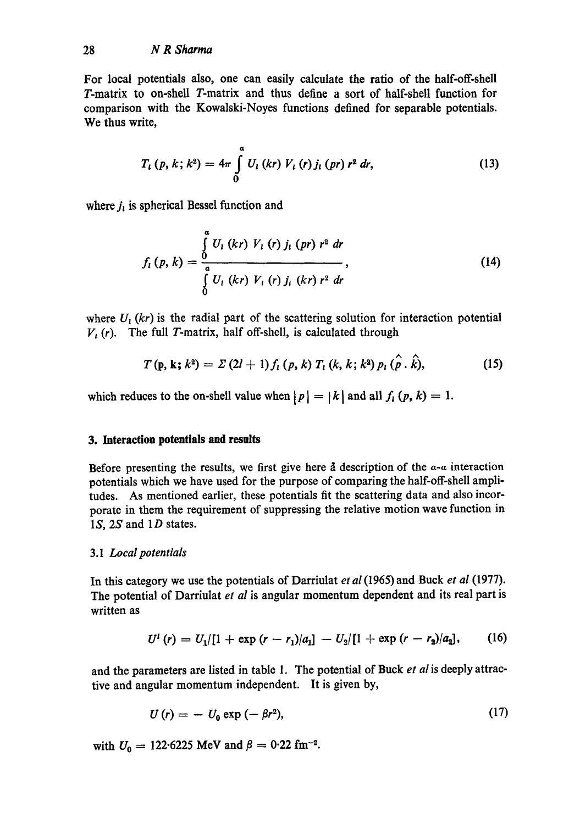For local potentials also, one can easily calculate the ratio of the half-off-shell T-matrix to on-shell T-matrix and thus define a sort of half-shell function for comparison with the Kowalski-Noyes functions defined for separable potentials. We thus write,

$$
T_{i}(p, k; k^{2}) = 4\pi \int_{0}^{a} U_{i}(kr) V_{i}(r) j_{i}(pr) r^{2} dr,
$$
\n(13)

where  $j_i$  is spherical Bessel function and

$$
f_{i}(p, k) = \frac{\int_{a}^{a} U_{i}(kr) V_{i}(r) j_{i}(pr) r^{2} dr}{\int_{0}^{a} U_{i}(kr) V_{i}(r) j_{i}(kr) r^{2} dr},
$$
\n(14)

where  $U_1$  (kr) is the radial part of the scattering solution for interaction potential  $V_{\iota}$  (r). The full T-matrix, half off-shell, is calculated through

$$
T(p, k; k^2) = \Sigma (2l + 1) f_l (p, k) T_l (k, k; k^2) p_l (\hat{\rho} \cdot \hat{k}), \qquad (15)
$$

which reduces to the on-shell value when  $|p| = |k|$  and all  $f_i(p, k) = 1$ .

## **3. Interaction potentials and results**

Before presenting the results, we first give here  $\tilde{a}$  description of the  $\alpha$ - $\alpha$  interaction potentials which we have used for the purpose of comparing the half-off-shell amplitudes. As mentioned earlier, these potentials fit the scattering data and also incorporate in them the requirement of suppressing the relative motion wave function in 1 $S$ , 2 $S$  and 1 $D$  states.

### *3.1 Local potentials*

In this category we use the potentials of Darriulat *et al* (1965) and Buck *et al* (1977). The potential of Darriulat *et al* is angular momentum dependent and its real part is written as

$$
U^i(r) = U_1/[1 + \exp{(r - r_1)/a_1}] - U_2/[1 + \exp{(r - r_2)/a_2}], \qquad (16)
$$

and the parameters are listed in table 1. The potential of Buck *et al* is deeply attractive and angular momentum independent. It is given by,

$$
U(r) = -U_0 \exp(-\beta r^2), \qquad (17)
$$

with  $U_0 = 122.6225$  MeV and  $\beta = 0.22$  fm<sup>-2</sup>.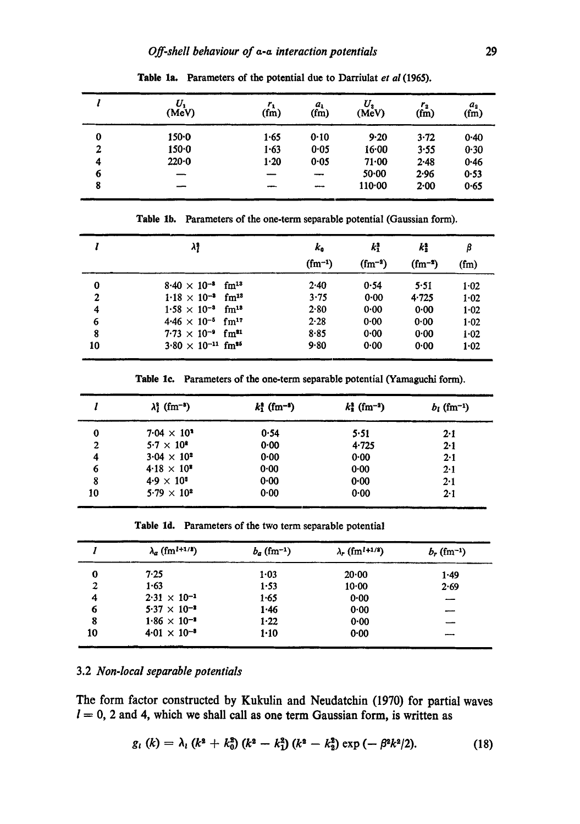|   | U.<br>(MeV) | $r_{1}$<br>(f <sub>m</sub> ) | $a_{1}$<br>(fm) | $\scriptstyle U_2$<br>(MeV) | $r_{2}$<br>(f <sub>m</sub> ) | $a_{2}$<br>(fm) |
|---|-------------|------------------------------|-----------------|-----------------------------|------------------------------|-----------------|
| 0 | $150 - 0$   | 1.65                         | 0.10            | 9.20                        | $3 - 72$                     | 0.40            |
| 2 | $150 - 0$   | 1.63                         | 0.05            | 16.00                       | 3.55                         | 0.30            |
| 4 | $220 - 0$   | 1.20                         | 0.05            | 71.00                       | $2 - 48$                     | 0.46            |
| 6 |             |                              |                 | $50 - 00$                   | 2.96                         | 0.53            |
| 8 |             |                              | ---             | 110.00                      | 2.00                         | 0.65            |

Table la. Parameters of the potential due to Darriulat *et al* (1965).

Table 1b. Parameters of the one-term separable potential (Gaussian form).

|                | λ,                                      | k <sub>o</sub> | $k_1^2$     | kţ<br>$(fm^{-2})$ | β        |
|----------------|-----------------------------------------|----------------|-------------|-------------------|----------|
|                |                                         | $(fm^{-1})$    | $(fm^{-2})$ |                   | $(f_m)$  |
| 0              | $8.40 \times 10^{-8}$ fm <sup>13</sup>  | 2.40           | 0.54        | 5.51              | 1.02     |
| $\overline{2}$ | $1.18 \times 10^{-3}$ fm <sup>13</sup>  | 3.75           | $0 - 00$    | 4.725             | $1 - 02$ |
| 4              | $1.58 \times 10^{-3}$ fm <sup>18</sup>  | 2.80           | 0.00        | 0.00              | $1 - 02$ |
| 6              | $4.46 \times 10^{-5}$ fm <sup>17</sup>  | 2.28           | $0 - 00$    | 0.00              | 1.02     |
| 8              | $7.73 \times 10^{-9}$ fm <sup>31</sup>  | 8.85           | 0.00        | 0.00              | $1 - 02$ |
| 10             | $3.80 \times 10^{-11}$ fm <sup>35</sup> | 9.80           | 0.00        | 0.00              | $1 - 02$ |

Table 1c. Parameters of the one-term separable potential (Yamaguchi form).

|          | $\lambda_i^2$ (fm <sup>-3</sup> ) | $k_1^*$ (fm <sup>-2</sup> ) | $k_{\rm s}^2$ (fm <sup>-2</sup> ) | $b_l$ (fm <sup>-1</sup> ) |
|----------|-----------------------------------|-----------------------------|-----------------------------------|---------------------------|
| $\bf{0}$ | $7.04 \times 10^{3}$              | 0.54                        | 5.51                              | 2.1                       |
| 2        | $5.7 \times 10^8$                 | 0.00                        | 4.725                             | 2.1                       |
| 4        | $3.04 \times 10^{2}$              | 0.00                        | 0.00                              | 2.1                       |
| 6        | $4.18 \times 10^{5}$              | 0.00                        | 0.00                              | 2.1                       |
| 8        | $4.9 \times 10^{3}$               | 0.00                        | 0.00                              | 2.1                       |
| 10       | $5.79 \times 10^{2}$              | 0.00                        | 0.00                              | 2.1                       |

Table Id. Parameters of the two term separable potential

|    | $\lambda_a$ (fm <sup>1+1/2</sup> ) | $b_a$ (fm <sup>-1</sup> ) | $\lambda_r$ (fm <sup>1+1/8</sup> ) | $b_r$ (fm <sup>-1</sup> ) |
|----|------------------------------------|---------------------------|------------------------------------|---------------------------|
| 0  | 7.25                               | $1 - 03$                  | 20.00                              | 1.49                      |
| 2  | 1.63                               | 1.53                      | $10 - 00$                          | 2.69                      |
| 4  | $2.31 \times 10^{-1}$              | 1.65                      | 0.00                               | ---                       |
| 6  | $5.37 \times 10^{-2}$              | 1.46                      | 0.00                               | ----                      |
| 8  | $1.86 \times 10^{-3}$              | 1.22                      | 0.00                               |                           |
| 10 | $4.01 \times 10^{-3}$              | $1-10$                    | 0.00                               |                           |

## 3.2 *Non-local separable potentials*

i l lll

The form factor constructed by Kukulin and Neudatehin (1970) for partial waves  $l = 0$ , 2 and 4, which we shall call as one term Gaussian form, is written as

$$
g_{l}(k) = \lambda_{l}(k^{2} + k_{0}^{2})(k^{2} - k_{1}^{2})(k^{2} - k_{2}^{2})\exp(-\beta^{2}k^{2}/2).
$$
 (18)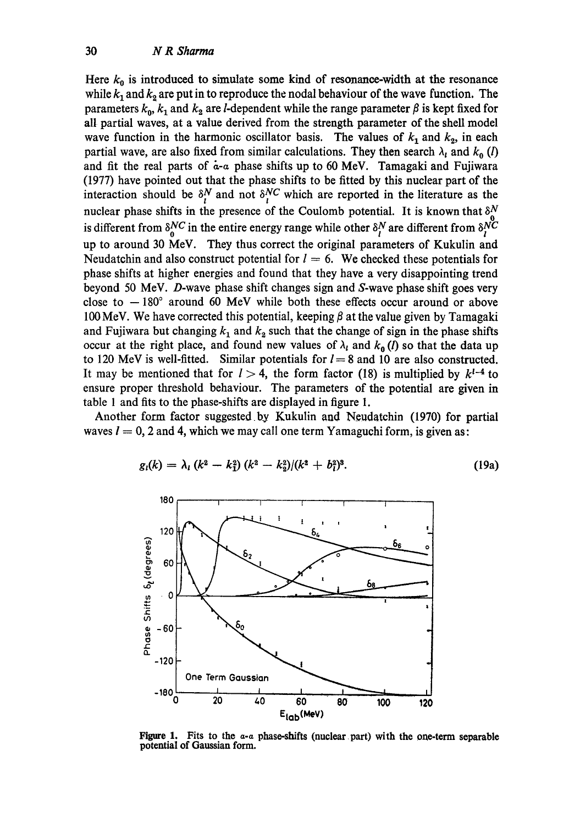Here  $k_0$  is introduced to simulate some kind of resonance-width at the resonance while  $k_1$  and  $k_2$  are put in to reproduce the nodal behaviour of the wave function. The parameters  $k_0$ ,  $k_1$  and  $k_2$  are *l*-dependent while the range parameter  $\beta$  is kept fixed for all partial waves, at a value derived from the strength parameter of the shell model wave function in the harmonic oscillator basis. The values of  $k_1$  and  $k_2$ , in each partial wave, are also fixed from similar calculations. They then search  $\lambda_1$  and  $k_0$  (l) and fit the real parts of  $\dot{a}$ -a phase shifts up to 60 MeV. Tamagaki and Fujiwara (1977) have pointed out that the phase shifts to be fitted by this nuclear part of the interaction should be  $\delta_t^N$  and not  $\delta_t^{NC}$  which are reported in the literature as the nuclear phase shifts in the presence of the Coulomb potential. It is known that  $\delta^N_{\alpha}$ is different from  $\delta_{\gamma}^{NC}$  in the entire energy range while other  $\delta_{\gamma}^{N}$  are different from  $\delta_{\gamma}^{NC}$ up to around 30 MeV. They thus correct the original parameters of Kukulin and Neudatchin and also construct potential for  $l = 6$ . We checked these potentials for phase shifts at higher energies and found that they have a very disappointing trend beyond 50 MeV. D-wave phase shift changes sign and S-wave phase shift goes very close to  $-180^\circ$  around 60 MeV while both these effects occur around or above 100 MeV. We have corrected this potential, keeping  $\beta$  at the value given by Tamagaki and Fujiwara but changing  $k_1$  and  $k_2$  such that the change of sign in the phase shifts occur at the right place, and found new values of  $\lambda_l$  and  $k_0$  (*l*) so that the data up to 120 MeV is well-fitted. Similar potentials for  $l = 8$  and 10 are also constructed. It may be mentioned that for  $l > 4$ , the form factor (18) is multiplied by  $k^{l-4}$  to ensure proper threshold behaviour. The parameters of the potential are given in table 1 and fits to the phase-shifts are displayed in figure 1.

Another form factor suggested by Kukulin and Neudatchin (1970) for partial waves  $l = 0$ , 2 and 4, which we may call one term Yamaguchi form, is given as:

$$
g_i(k) = \lambda_i (k^2 - k_1^2) (k^2 - k_2^2) / (k^2 + b_1^2)^8.
$$
 (19a)



**Figure I. Fits to the** *a-a* **phase-shifts (nuclear part) with the one-term separable potential of Gaussian form.**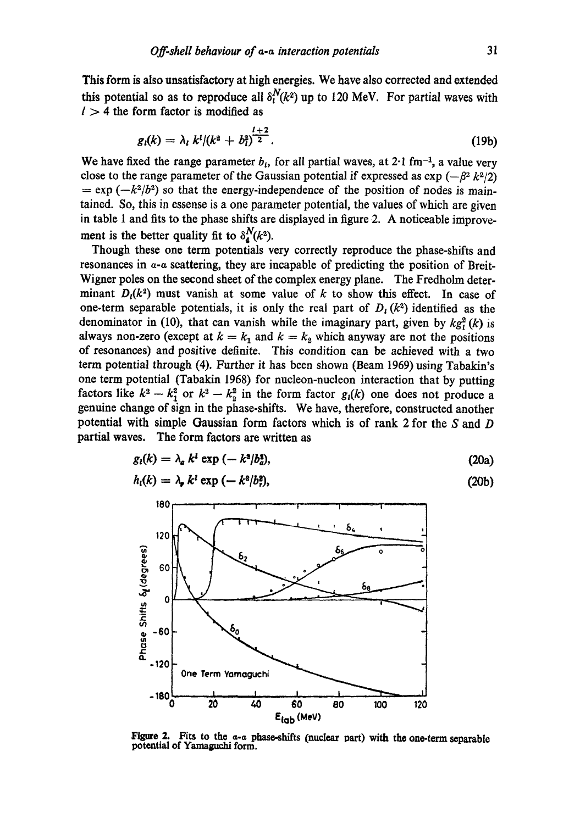This form is also unsatisfactory at high energies. We have also corrected and extended this potential so as to reproduce all  $\delta_l^N(k^2)$  up to 120 MeV. For partial waves with  $l > 4$  the form factor is modified as

$$
g_i(k) = \lambda_i \; k^i/(k^2 + b_i^2)^{\frac{l+2}{2}}.\tag{19b}
$$

We have fixed the range parameter  $b_i$ , for all partial waves, at 2.1 fm<sup>-1</sup>, a value very close to the range parameter of the Gaussian potential if expressed as  $\exp(-\beta^2 k^2/2)$  $= \exp(-k^2/b^2)$  so that the energy-independence of the position of nodes is maintained. So, this in essense is a one parameter potential, the values of which are given in table 1 and fits to the phase shifts are displayed in figure 2. A noticeable improvement is the better quality fit to  $\delta_4^N(k^2)$ .

Though these one term potentials very correctly reproduce the phase-shifts and resonances in  $\alpha$ - $\alpha$  scattering, they are incapable of predicting the position of Breit-Wigner poles on the second sheet of the complex energy plane. The Fredholm determinant  $D<sub>1</sub>(k<sup>2</sup>)$  must vanish at some value of k to show this effect. In case of one-term separable potentials, it is only the real part of  $D<sub>1</sub>(k<sup>2</sup>)$  identified as the denominator in (10), that can vanish while the imaginary part, given by  $kg_1^2(k)$  is always non-zero (except at  $k = k_1$  and  $k = k_2$  which anyway are not the positions of resonances) and positive definite. This condition can be achieved with a two term potential through (4). Further it has been shown (Beam 1969) using Tabakin's one term potential (Tabakin 1968) for nucleon-nucleon interaction that by putting factors like  $k^2 - k_1^2$  or  $k^2 - k_2^2$  in the form factor  $g_1(k)$  one does not produce a genuine change of sign in the phase-shifts. We have, therefore, constructed another potential with simple Gaussian form factors which is of rank 2 for the S and D partial waves. The form factors are written as

$$
g_i(k) = \lambda_a k^i \exp\left(-k^2/b_a^2\right),\tag{20a}
$$

$$
h_i(k) = \lambda_{\mathbf{z}} k^i \exp\left(-k^2/b_i^2\right),\tag{20b}
$$



Figure 2. Fits to the a-a phase-shifts (nuclear part) with the one-term separable **potential of** Yamaguchi form.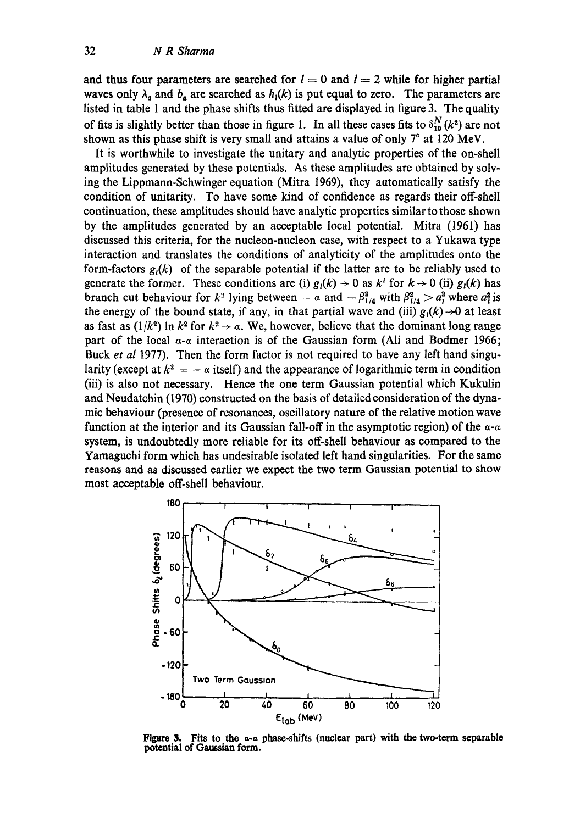and thus four parameters are searched for  $l = 0$  and  $l = 2$  while for higher partial waves only  $\lambda_a$  and  $b_a$  are searched as  $h_i(k)$  is put equal to zero. The parameters are listed in table 1 and the phase shifts thus fitted are displayed in figure 3. The quality of fits is slightly better than those in figure 1. In all these cases fits to  $\delta_{10}^N(k^2)$  are not shown as this phase shift is very small and attains a value of only  $7^\circ$  at 120 MeV.

It is worthwhile to investigate the unitary and analytic properties of the on-shell amplitudes generated by these potentials. As these amplitudes are obtained by solving the Lippmann-Schwinger equation (Mitra 1969), they automatically satisfy the condition of unitarity. To have some kind of confidence as regards their off-shell continuation, these amplitudes should have analytic properties similar to those shown by the amplitudes generated by an acceptable local potential. Mitra (1961) has discussed this criteria, for the nucleon-nucleon case, with respect to a Yukawa type interaction and translates the conditions of analyticity of the amplitudes onto the form-factors  $g_i(k)$  of the separable potential if the latter are to be reliably used to generate the former. These conditions are (i)  $g_i(k) \rightarrow 0$  as  $k^i$  for  $k \rightarrow 0$  (ii)  $g_i(k)$  has branch cut behaviour for  $k^2$  lying between  $-a$  and  $-\beta_{1/4}^2$  with  $\beta_{1/4}^2 > a_t^2$  where  $a_t^2$  is the energy of the bound state, if any, in that partial wave and (iii)  $g_1(k) \rightarrow 0$  at least as fast as  $(1/k^2)$  ln  $k^2$  for  $k^2 \rightarrow \alpha$ . We, however, believe that the dominant long range part of the local  $\alpha$ - $\alpha$  interaction is of the Gaussian form (Ali and Bodmer 1966; Buck *et al* 1977). Then the form factor is not required to have any left hand singularity (except at  $k^2 = -\alpha$  itself) and the appearance of logarithmic term in condition (iii) is also not necessary. Hence the one term Gaussian potential which Kukulin and Neudatchin (1970) constructed on the basis of detailed consideration of the dynamic behaviour (presence of resonances, oscillatory nature of the relative motion wave function at the interior and its Gaussian fall-off in the asymptotic region) of the  $a-a$ system, is undoubtedly more reliable for its off-shell behaviour as compared to the Yamaguchi form which has undesirable isolated left hand singularities. For the same reasons and as discussed earlier we expect the two term Gaussian potential to show most acceptable off-shell behaviour.



Figure 3. Fits to the  $\alpha$ - $\alpha$  phase-shifts (nuclear part) with the two-term separable potential of Gaussian **form.**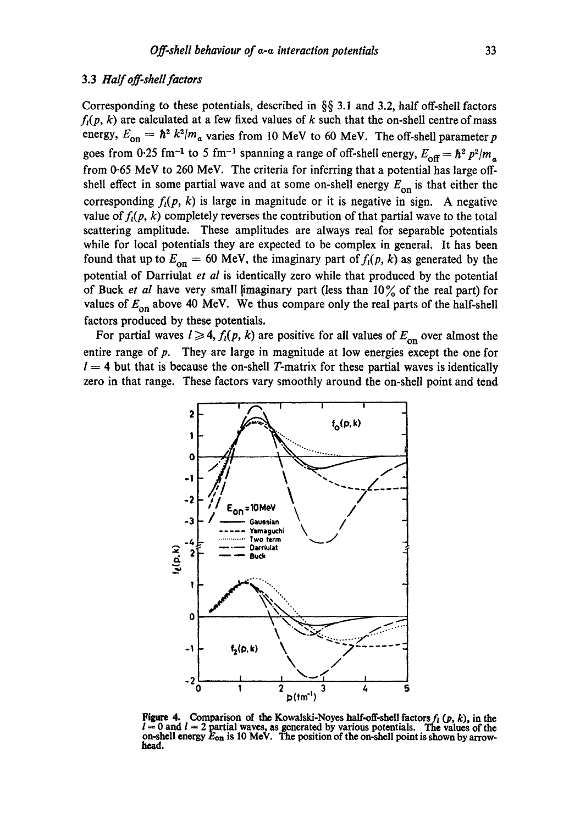## 3.3 *Half off-shell factors*

Corresponding to these potentials, described in §§ 3.1 and 3.2, half off-shell factors  $f<sub>i</sub>(p, k)$  are calculated at a few fixed values of k such that the on-shell centre of mass energy,  $E_{on} = \hbar^2 k^2/m_a$  varies from 10 MeV to 60 MeV. The off-shell parameter p goes from 0.25 fm<sup>-1</sup> to 5 fm<sup>-1</sup> spanning a range of off-shell energy,  $E_{\text{off}} = \hbar^2 p^2/m_a$ from 0.65 MeV to 260 MeV. The criteria for inferring that a potential has large offshell effect in some partial wave and at some on-shell energy  $E_{on}$  is that either the corresponding  $f<sub>i</sub>(p, k)$  is large in magnitude or it is negative in sign. A negative value of  $f_i(p, k)$  completely reverses the contribution of that partial wave to the total scattering amplitude. These amplitudes are always real for separable potentials while for local potentials they are expected to be complex in general. It has been found that up to  $E_{on} = 60$  MeV, the imaginary part of  $f_i(p, k)$  as generated by the potential of Darriulat *et al* is identically zero while that produced by the potential of Buck *et al* have very small *imaginary part* (less than 10% of the real part) for values of  $E_{\text{on}}$  above 40 MeV. We thus compare only the real parts of the half-shell factors produced by these potentials.

For partial waves  $l \geq 4$ ,  $f_l(p, k)$  are positive for all values of  $E_{on}$  over almost the entire range of p. They are large in magnitude at low energies except the one for  $l = 4$  but that is because the on-shell T-matrix for these partial waves is identically zero in that range. These factors vary smoothly around the on-shell point and tend



Figure 4. Comparison of the Kowalski-Noyes half-off-shell factors  $f_i$  ( $p$ ,  $k$ ), in the  $l = 0$  and  $l = 2$  partial waves, as generated by various potentials. The values of the on-shell energy **Eon is** 10 MeV. The **position of the** on-shell point is shown by arrowhead.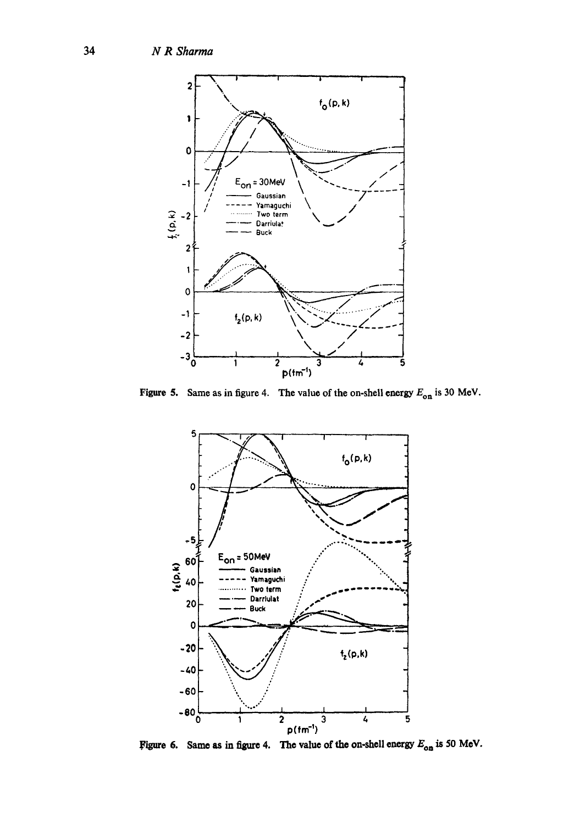

**Figure 5.** Same as in figure 4. The value of the on-shell energy  $E_{on}$  is 30 MeV.



Figure 6. Same as in figure 4. The value of the on-shell energy  $E_{on}$  is 50 MeV.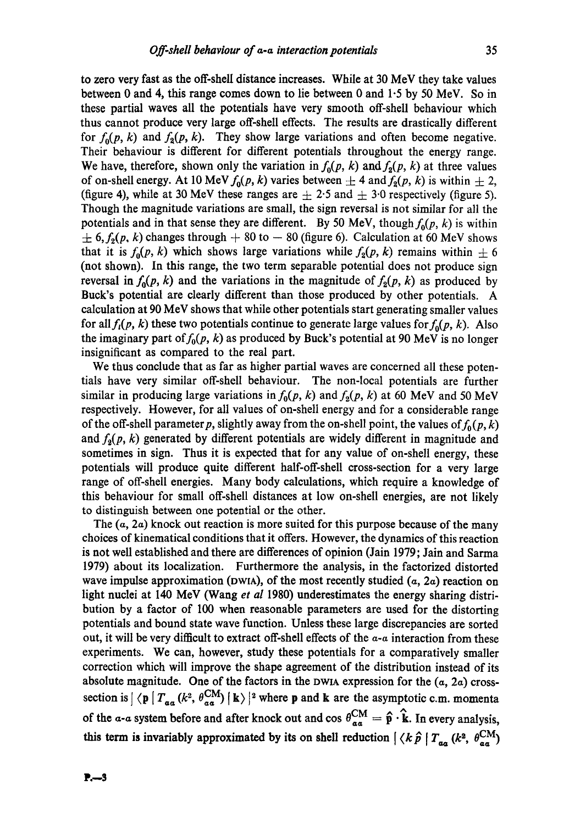to zero very fast as the off-shell distance increases. While at 30 MeV they take values between 0 and 4, this range comes down to lie between 0 and 1.5 by 50 MeV. So in these partial waves all the potentials have very smooth off-sheU behaviour which thus cannot produce very large off-shell effects. The results are drastically different for  $f_0(p, k)$  and  $f_2(p, k)$ . They show large variations and often become negative. Their behaviour is different for different potentials throughout the energy range. We have, therefore, shown only the variation in  $f_0(p, k)$  and  $f_2(p, k)$  at three values of on-shell energy. At 10 MeV  $f_0(p, k)$  varies between  $\pm 4$  and  $f_2(p, k)$  is within  $\pm 2$ , (figure 4), while at 30 MeV these ranges are  $\pm$  2.5 and  $\pm$  3.0 respectively (figure 5). Though the magnitude variations are small, the sign reversal is not similar for all the potentials and in that sense they are different. By 50 MeV, though  $f_0(p, k)$  is within  $\pm$  6,  $f_2(p, k)$  changes through  $+$  80 to  $-$  80 (figure 6). Calculation at 60 MeV shows that it is  $f_0(p, k)$  which shows large variations while  $f_2(p, k)$  remains within  $\pm 6$ (not shown). In this range, the two term separable potential does not produce sign reversal in  $f_0(p, k)$  and the variations in the magnitude of  $f_2(p, k)$  as produced by Buck's potential are clearly different than those produced by other potentials. A calculation at 90 MeV shows that while other potentials start generating smaller values for all  $f_i(p, k)$  these two potentials continue to generate large values for  $f_0(p, k)$ . Also the imaginary part of  $f_0(p, k)$  as produced by Buck's potential at 90 MeV is no longer insignificant as compared to the real part.

We thus conclude that as far as higher partial waves are concerned all these potentials have very similar off-shell behaviour. The non-local potentials are further similar in producing large variations in  $f_0(p, k)$  and  $f_2(p, k)$  at 60 MeV and 50 MeV respectively. However, for all values of on-shell energy and for a considerable range of the off-shell parameter p, slightly away from the on-shell point, the values of  $f_0(p, k)$ and  $f_2(p, k)$  generated by different potentials are widely different in magnitude and sometimes in sign. Thus it is expected that for any value of on-shell energy, these potentials will produce quite different half-off-shell cross-section for a very large range of off-shell energies. Many body calculations, which require a knowledge of this behaviour for small off-shell distances at low on-shell energies, are not likely to distinguish between one potential or the other.

The  $(a, 2a)$  knock out reaction is more suited for this purpose because of the many choices of kinematical conditions that it offers. However, the dynamics of this reaction is not well established and there are differences of opinion (Jain 1979; Jain and Sarma 1979) about its localization. Furthermore the analysis, in the factorized distorted wave impulse approximation (DWIA), of the most recently studied  $(a, 2a)$  reaction on light nuclei at 140 MeV (Wang *et al* 1980) underestimates the energy sharing distribution by a factor of 100 when reasonable parameters are used for the distorting potentials and bound state wave function. Unless these large discrepancies are sorted out, it will be very difficult to extract off-shell effects of the  $a-a$  interaction from these experiments. We can, however, study these potentials for a comparatively smaller correction which will improve the shape agreement of the distribution instead of its absolute magnitude. One of the factors in the DWIA expression for the  $(a, 2a)$  crosssection is  $\left|\right\rangle \left\langle \mathbf{p} \right| T_{\alpha\alpha} (k^2, \theta_{\alpha\alpha}^{\text{CM}}) \right|$  k)  $\left|\right\rangle$  where p and k are the asymptotic c.m. momenta of the  $a$ -a system before and after knock out and cos  $\theta_{aa}^{CM} = \hat{\mathbf{p}} \cdot \hat{\mathbf{k}}$ . In every analysis, this term is invariably approximated by its on shell reduction  $\langle k \hat{p} | T_{aa} (k^2, \theta_{aa}^{CM}) \rangle$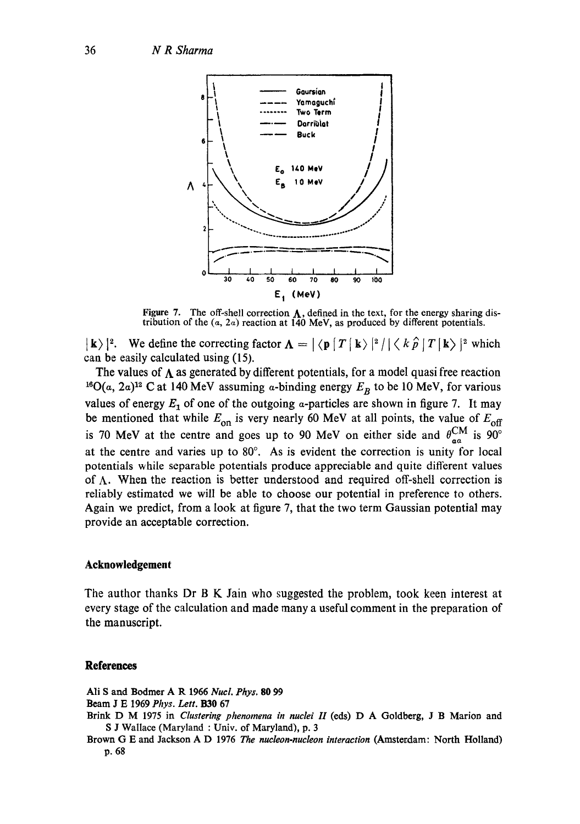

Figure 7. The off-shell correction  $\Lambda$ , defined in the text, for the energy sharing distribution of the  $(a, 2a)$  reaction at  $140$  MeV, as produced by different potentials.

 $|\mathbf{k}\rangle|^2$ . We define the correcting factor  $\mathbf{\Lambda} = |\langle \mathbf{p} | T | \mathbf{k}\rangle|^2 / |\langle k \hat{\rho} | T | \mathbf{k}\rangle|^2$  which can be easily calculated using (15).

The values of  $\Lambda$  as generated by different potentials, for a model quasi free reaction <sup>16</sup>O( $\alpha$ , 2 $\alpha$ )<sup>12</sup> C at 140 MeV assuming  $\alpha$ -binding energy  $E_B$  to be 10 MeV, for various values of energy  $E_1$  of one of the outgoing a-particles are shown in figure 7. It may be mentioned that while  $E_{on}$  is very nearly 60 MeV at all points, the value of  $E_{off}$ is 70 MeV at the centre and goes up to 90 MeV on either side and  $\theta_{\alpha a}^{\text{UM}}$  is 90° at the centre and varies up to  $80^\circ$ . As is evident the correction is unity for local potentials while separable potentials produce appreciable and quite different values of  $\Lambda$ . When the reaction is better understood and required off-shell correction is reliably estimated we will be able to choose our potential in preference to others. Again we predict, from a look at figure 7, that the two term Gaussian potential may provide an acceptable correction.

### **Acknowledgement**

The author thanks Dr B K Jain who suggested the problem, took keen interest at every stage of the calculation and made many a useful comment in the preparation of the manuscript.

### **References**

Ali S and Bodmer A R 1966 *Nuel. Phys.* 80 99

- Beam J E 1969 *Phys. Lett. 1330* 67
- Brink D M 1975 in *Clustering phenomena in nuclei H* (eds) D A Goldberg, J B Marion and S J Wallace (Maryland : Univ. of Maryland), p. 3
- Brown G E and Jackson A D 1976 *The nucleon-nucleon interaction* (Amsterdam: North Holland) p. 68